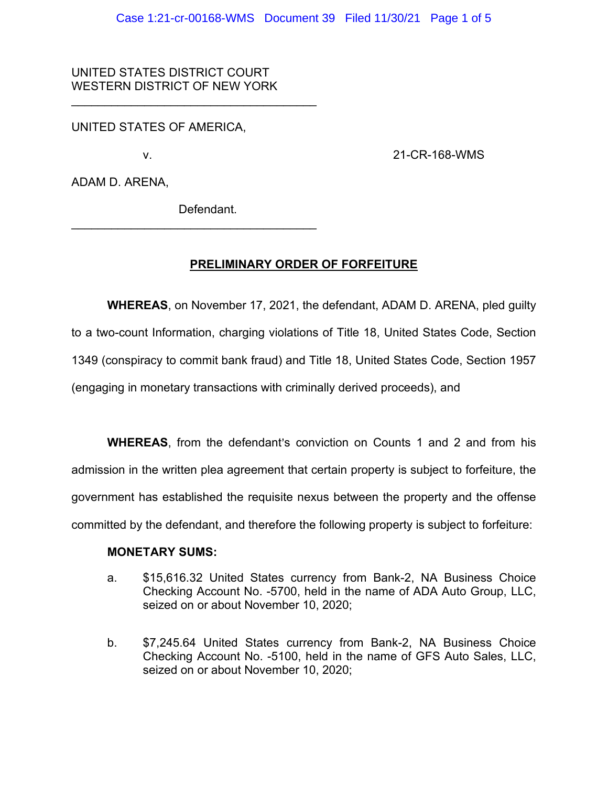### UNITED STATES DISTRICT COURT WESTERN DISTRICT OF NEW YORK

\_\_\_\_\_\_\_\_\_\_\_\_\_\_\_\_\_\_\_\_\_\_\_\_\_\_\_\_\_\_\_\_\_\_\_\_\_

UNITED STATES OF AMERICA,

v. 21-CR-168-WMS

ADAM D. ARENA,

Defendant.

\_\_\_\_\_\_\_\_\_\_\_\_\_\_\_\_\_\_\_\_\_\_\_\_\_\_\_\_\_\_\_\_\_\_\_\_\_

# **PRELIMINARY ORDER OF FORFEITURE**

**WHEREAS**, on November 17, 2021, the defendant, ADAM D. ARENA, pled guilty to a two-count Information, charging violations of Title 18, United States Code, Section 1349 (conspiracy to commit bank fraud) and Title 18, United States Code, Section 1957 (engaging in monetary transactions with criminally derived proceeds), and

**WHEREAS**, from the defendant's conviction on Counts 1 and 2 and from his admission in the written plea agreement that certain property is subject to forfeiture, the government has established the requisite nexus between the property and the offense committed by the defendant, and therefore the following property is subject to forfeiture:

### **MONETARY SUMS:**

- a. \$15,616.32 United States currency from Bank-2, NA Business Choice Checking Account No. -5700, held in the name of ADA Auto Group, LLC, seized on or about November 10, 2020;
- b. \$7,245.64 United States currency from Bank-2, NA Business Choice Checking Account No. -5100, held in the name of GFS Auto Sales, LLC, seized on or about November 10, 2020;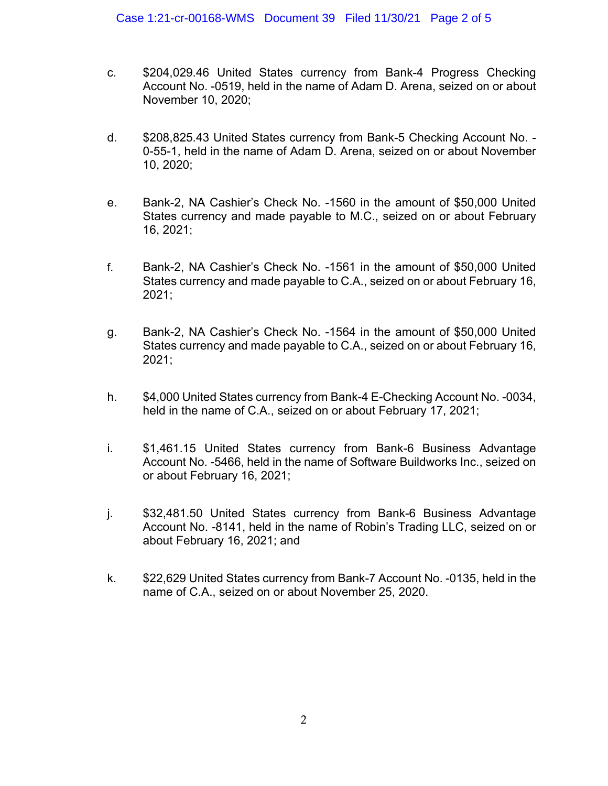- c. \$204,029.46 United States currency from Bank-4 Progress Checking Account No. -0519, held in the name of Adam D. Arena, seized on or about November 10, 2020;
- d. \$208,825.43 United States currency from Bank-5 Checking Account No. 0-55-1, held in the name of Adam D. Arena, seized on or about November 10, 2020;
- e. Bank-2, NA Cashier's Check No. -1560 in the amount of \$50,000 United States currency and made payable to M.C., seized on or about February 16, 2021;
- f. Bank-2, NA Cashier's Check No. -1561 in the amount of \$50,000 United States currency and made payable to C.A., seized on or about February 16, 2021;
- g. Bank-2, NA Cashier's Check No. -1564 in the amount of \$50,000 United States currency and made payable to C.A., seized on or about February 16, 2021;
- h. \$4,000 United States currency from Bank-4 E-Checking Account No. -0034, held in the name of C.A., seized on or about February 17, 2021;
- i. \$1,461.15 United States currency from Bank-6 Business Advantage Account No. -5466, held in the name of Software Buildworks Inc., seized on or about February 16, 2021;
- j. \$32,481.50 United States currency from Bank-6 Business Advantage Account No. -8141, held in the name of Robin's Trading LLC, seized on or about February 16, 2021; and
- k. \$22,629 United States currency from Bank-7 Account No. -0135, held in the name of C.A., seized on or about November 25, 2020.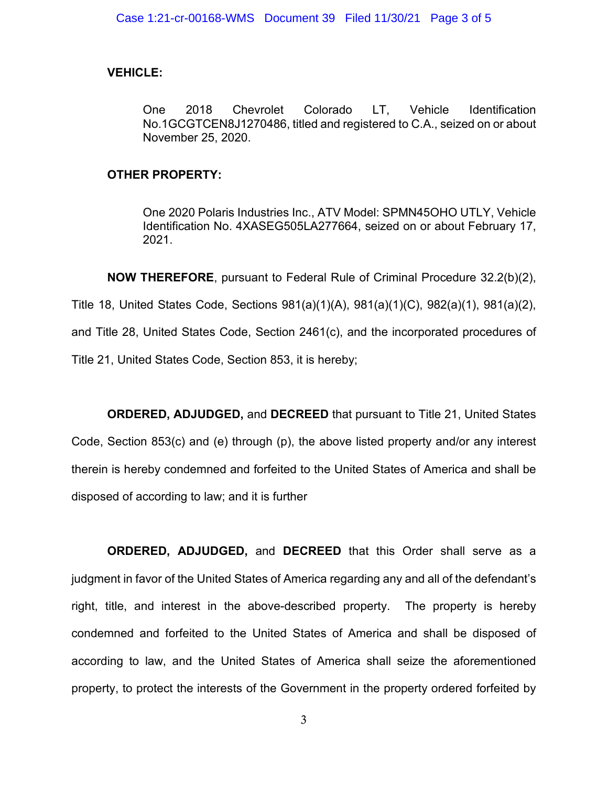# **VEHICLE:**

One 2018 Chevrolet Colorado LT, Vehicle Identification No.1GCGTCEN8J1270486, titled and registered to C.A., seized on or about November 25, 2020.

## **OTHER PROPERTY:**

One 2020 Polaris Industries Inc., ATV Model: SPMN45OHO UTLY, Vehicle Identification No. 4XASEG505LA277664, seized on or about February 17, 2021.

**NOW THEREFORE**, pursuant to Federal Rule of Criminal Procedure 32.2(b)(2), Title 18, United States Code, Sections 981(a)(1)(A), 981(a)(1)(C), 982(a)(1), 981(a)(2), and Title 28, United States Code, Section 2461(c), and the incorporated procedures of Title 21, United States Code, Section 853, it is hereby;

**ORDERED, ADJUDGED,** and **DECREED** that pursuant to Title 21, United States Code, Section 853(c) and (e) through (p), the above listed property and/or any interest therein is hereby condemned and forfeited to the United States of America and shall be disposed of according to law; and it is further

**ORDERED, ADJUDGED,** and **DECREED** that this Order shall serve as a judgment in favor of the United States of America regarding any and all of the defendant's right, title, and interest in the above-described property. The property is hereby condemned and forfeited to the United States of America and shall be disposed of according to law, and the United States of America shall seize the aforementioned property, to protect the interests of the Government in the property ordered forfeited by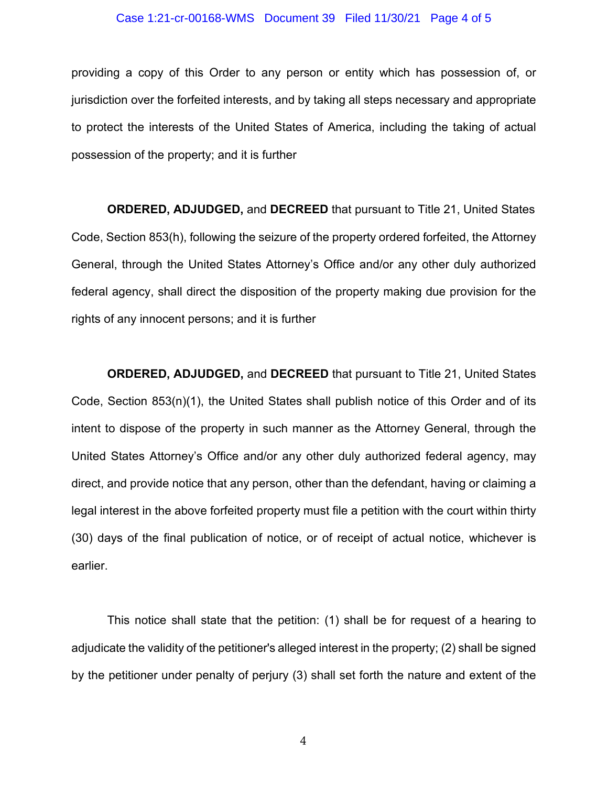#### Case 1:21-cr-00168-WMS Document 39 Filed 11/30/21 Page 4 of 5

providing a copy of this Order to any person or entity which has possession of, or jurisdiction over the forfeited interests, and by taking all steps necessary and appropriate to protect the interests of the United States of America, including the taking of actual possession of the property; and it is further

**ORDERED, ADJUDGED,** and **DECREED** that pursuant to Title 21, United States Code, Section 853(h), following the seizure of the property ordered forfeited, the Attorney General, through the United States Attorney's Office and/or any other duly authorized federal agency, shall direct the disposition of the property making due provision for the rights of any innocent persons; and it is further

**ORDERED, ADJUDGED,** and **DECREED** that pursuant to Title 21, United States Code, Section 853(n)(1), the United States shall publish notice of this Order and of its intent to dispose of the property in such manner as the Attorney General, through the United States Attorney's Office and/or any other duly authorized federal agency, may direct, and provide notice that any person, other than the defendant, having or claiming a legal interest in the above forfeited property must file a petition with the court within thirty (30) days of the final publication of notice, or of receipt of actual notice, whichever is earlier.

This notice shall state that the petition: (1) shall be for request of a hearing to adjudicate the validity of the petitioner's alleged interest in the property; (2) shall be signed by the petitioner under penalty of perjury (3) shall set forth the nature and extent of the

4